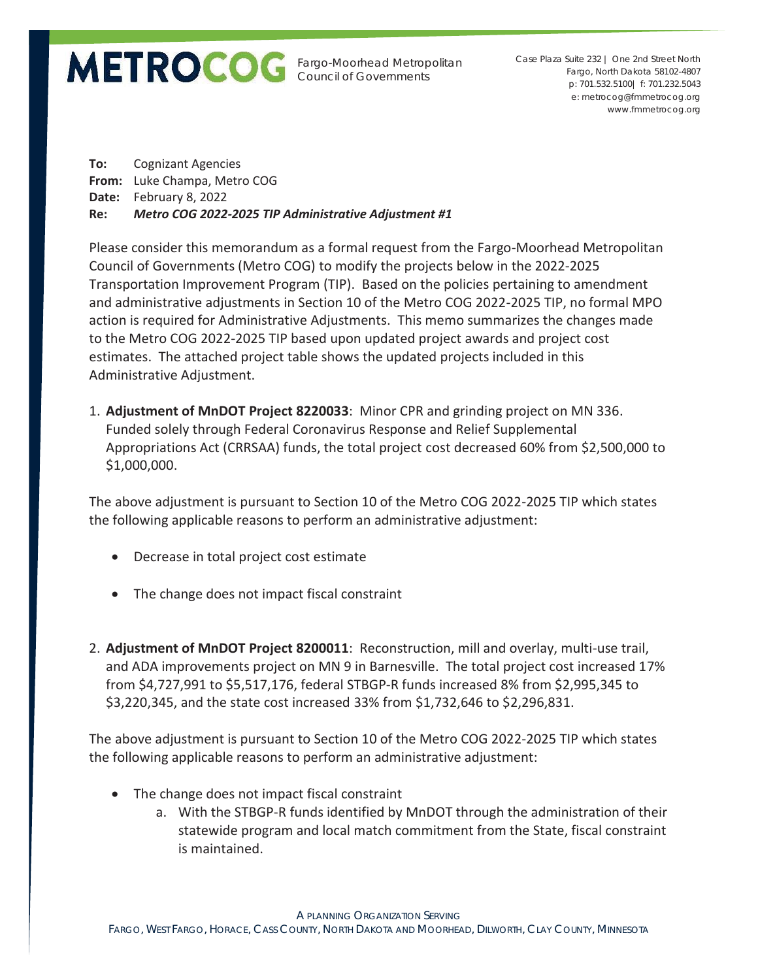Fargo-Moorhead Metropolitan Council of Governments

p: 701.532.5100| f: 701.232.5043 e: metrocog@fmmetrocog.org www.fmmetrocog.org Case Plaza Suite 232 | One 2nd Street North Fargo, North Dakota 58102-4807

**To:** Cognizant Agencies **From:** Luke Champa, Metro COG **Date:** February 8, 2022 **Re:** *Metro COG 2022-2025 TIP Administrative Adjustment #1*

Please consider this memorandum as a formal request from the Fargo-Moorhead Metropolitan Council of Governments (Metro COG) to modify the projects below in the 2022-2025 Transportation Improvement Program (TIP). Based on the policies pertaining to amendment and administrative adjustments in Section 10 of the Metro COG 2022-2025 TIP, no formal MPO action is required for Administrative Adjustments. This memo summarizes the changes made to the Metro COG 2022-2025 TIP based upon updated project awards and project cost estimates. The attached project table shows the updated projects included in this Administrative Adjustment.

1. **Adjustment of MnDOT Project 8220033**: Minor CPR and grinding project on MN 336. Funded solely through Federal Coronavirus Response and Relief Supplemental Appropriations Act (CRRSAA) funds, the total project cost decreased 60% from \$2,500,000 to \$1,000,000.

The above adjustment is pursuant to Section 10 of the Metro COG 2022-2025 TIP which states the following applicable reasons to perform an administrative adjustment:

- Decrease in total project cost estimate
- The change does not impact fiscal constraint
- 2. **Adjustment of MnDOT Project 8200011**: Reconstruction, mill and overlay, multi-use trail, and ADA improvements project on MN 9 in Barnesville. The total project cost increased 17% from \$4,727,991 to \$5,517,176, federal STBGP-R funds increased 8% from \$2,995,345 to \$3,220,345, and the state cost increased 33% from \$1,732,646 to \$2,296,831.

The above adjustment is pursuant to Section 10 of the Metro COG 2022-2025 TIP which states the following applicable reasons to perform an administrative adjustment:

- The change does not impact fiscal constraint
	- a. With the STBGP-R funds identified by MnDOT through the administration of their statewide program and local match commitment from the State, fiscal constraint is maintained.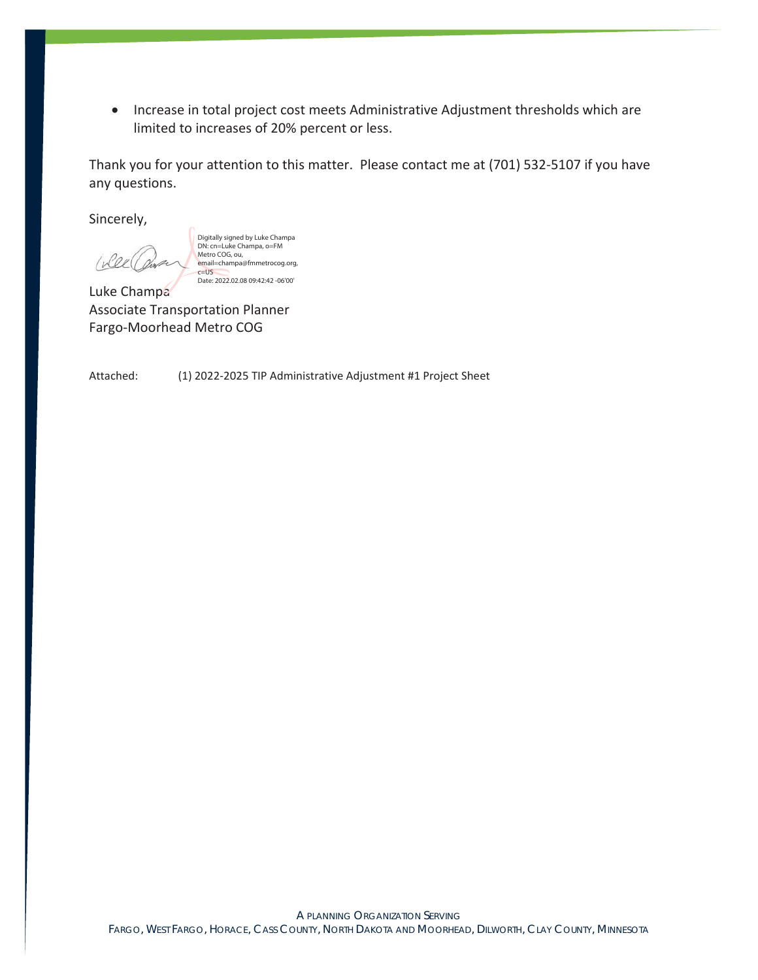• Increase in total project cost meets Administrative Adjustment thresholds which are limited to increases of 20% percent or less.

Thank you for your attention to this matter. Please contact me at (701) 532-5107 if you have any questions.

Sincerely,

Wee

Digitally signed by Luke Champa DN: cn=Luke Champa, o=FM Metro COG, ou, email=champa@fmmetrocog.org,  $c = US$ Date: 2022.02.08 09:42:42 -06'00'

Luke Champa Associate Transportation Planner Fargo-Moorhead Metro COG

Attached: (1) 2022-2025 TIP Administrative Adjustment #1 Project Sheet